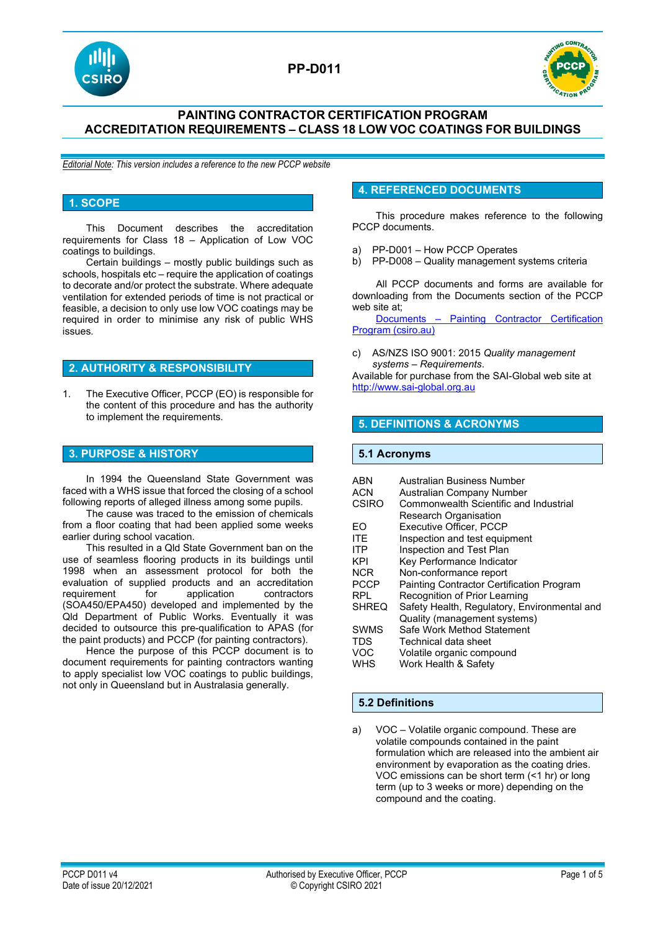



## **PAINTING CONTRACTOR CERTIFICATION PROGRAM ACCREDITATION REQUIREMENTS – CLASS 18 LOW VOC COATINGS FOR BUILDINGS**

*Editorial Note: This version includes a reference to the new PCCP website*

#### **1. SCOPE**

This Document describes the accreditation requirements for Class 18 – Application of Low VOC coatings to buildings.

Certain buildings – mostly public buildings such as schools, hospitals etc – require the application of coatings to decorate and/or protect the substrate. Where adequate ventilation for extended periods of time is not practical or feasible, a decision to only use low VOC coatings may be required in order to minimise any risk of public WHS issues.

## **2. AUTHORITY & RESPONSIBILITY**

1. The Executive Officer, PCCP (EO) is responsible for the content of this procedure and has the authority to implement the requirements.

## **3. PURPOSE & HISTORY**

In 1994 the Queensland State Government was faced with a WHS issue that forced the closing of a school following reports of alleged illness among some pupils.

The cause was traced to the emission of chemicals from a floor coating that had been applied some weeks earlier during school vacation.

This resulted in a Qld State Government ban on the use of seamless flooring products in its buildings until 1998 when an assessment protocol for both the evaluation of supplied products and an accreditation requirement for application contractors (SOA450/EPA450) developed and implemented by the Qld Department of Public Works. Eventually it was decided to outsource this pre-qualification to APAS (for the paint products) and PCCP (for painting contractors).

Hence the purpose of this PCCP document is to document requirements for painting contractors wanting to apply specialist low VOC coatings to public buildings, not only in Queensland but in Australasia generally.

## **4. REFERENCED DOCUMENTS**

This procedure makes reference to the following PCCP documents.

- a) PP-D001 How PCCP Operates
- b) PP-D008 Quality management systems criteria

All PCCP documents and forms are available for downloading from the Documents section of the PCCP web site at;<br>Documents

- Painting Contractor Certification [Program \(csiro.au\)](https://vs.csiro.au/pccp/documents/)

c) AS/NZS ISO 9001: 2015 *Quality management systems – Requirements*.

Available for purchase from the SAI-Global web site at [http://www.sai-global.org.au](http://www.sai-global.org.au/)

### **5. DEFINITIONS & ACRONYMS**

#### **5.1 Acronyms**

| <b>ABN</b>   | Australian Business Number                       |
|--------------|--------------------------------------------------|
| <b>ACN</b>   | Australian Company Number                        |
| CSIRO        | Commonwealth Scientific and Industrial           |
|              | Research Organisation                            |
| FO           | Executive Officer, PCCP                          |
| <b>ITE</b>   | Inspection and test equipment                    |
| <b>ITP</b>   | Inspection and Test Plan                         |
| KPI          | Key Performance Indicator                        |
| <b>NCR</b>   | Non-conformance report                           |
| <b>PCCP</b>  | <b>Painting Contractor Certification Program</b> |
| <b>RPL</b>   | Recognition of Prior Learning                    |
| <b>SHREQ</b> | Safety Health, Regulatory, Environmental and     |
|              | Quality (management systems)                     |
| <b>SWMS</b>  | Safe Work Method Statement                       |
| TDS          | Technical data sheet                             |
| <b>VOC</b>   | Volatile organic compound                        |
| WHS          | Work Health & Safety                             |

#### **5.2 Definitions**

a) VOC – Volatile organic compound. These are volatile compounds contained in the paint formulation which are released into the ambient air environment by evaporation as the coating dries. VOC emissions can be short term (<1 hr) or long term (up to 3 weeks or more) depending on the compound and the coating.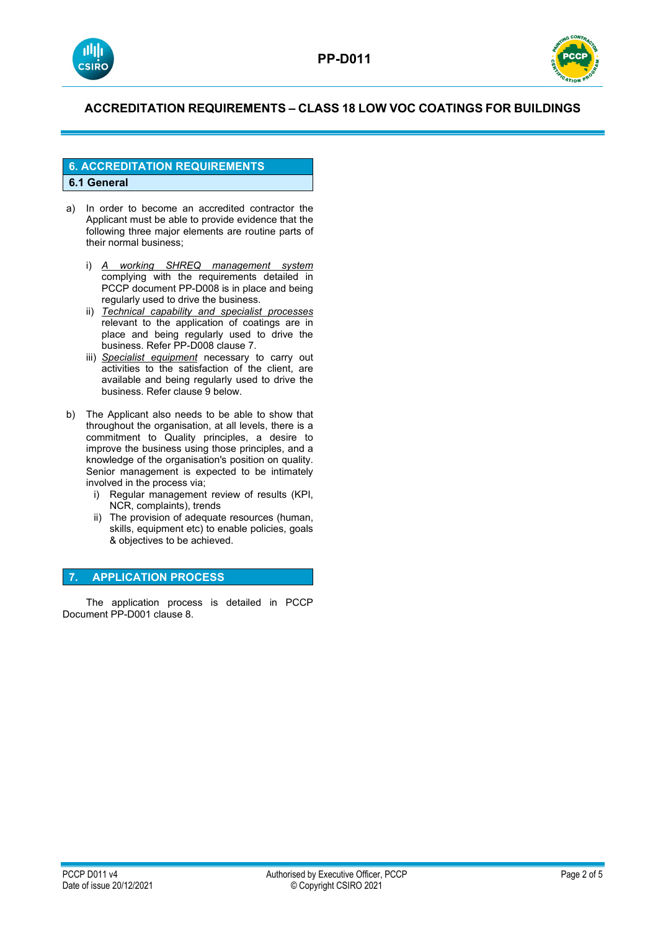



## **6. ACCREDITATION REQUIREMENTS 6.1 General**

- a) In order to become an accredited contractor the Applicant must be able to provide evidence that the following three major elements are routine parts of their normal business;
	- i) *A working SHREQ management system* complying with the requirements detailed in PCCP document PP-D008 is in place and being regularly used to drive the business.
	- ii) *Technical capability and specialist processes* relevant to the application of coatings are in place and being regularly used to drive the business. Refer PP-D008 clause 7.
	- iii) *Specialist equipment* necessary to carry out activities to the satisfaction of the client, are available and being regularly used to drive the business. Refer clause 9 below.
- b) The Applicant also needs to be able to show that throughout the organisation, at all levels, there is a commitment to Quality principles, a desire to improve the business using those principles, and a knowledge of the organisation's position on quality. Senior management is expected to be intimately involved in the process via;
	- i) Regular management review of results (KPI, NCR, complaints), trends
	- ii) The provision of adequate resources (human, skills, equipment etc) to enable policies, goals & objectives to be achieved.

## **7. APPLICATION PROCESS**

The application process is detailed in PCCP Document PP-D001 clause 8.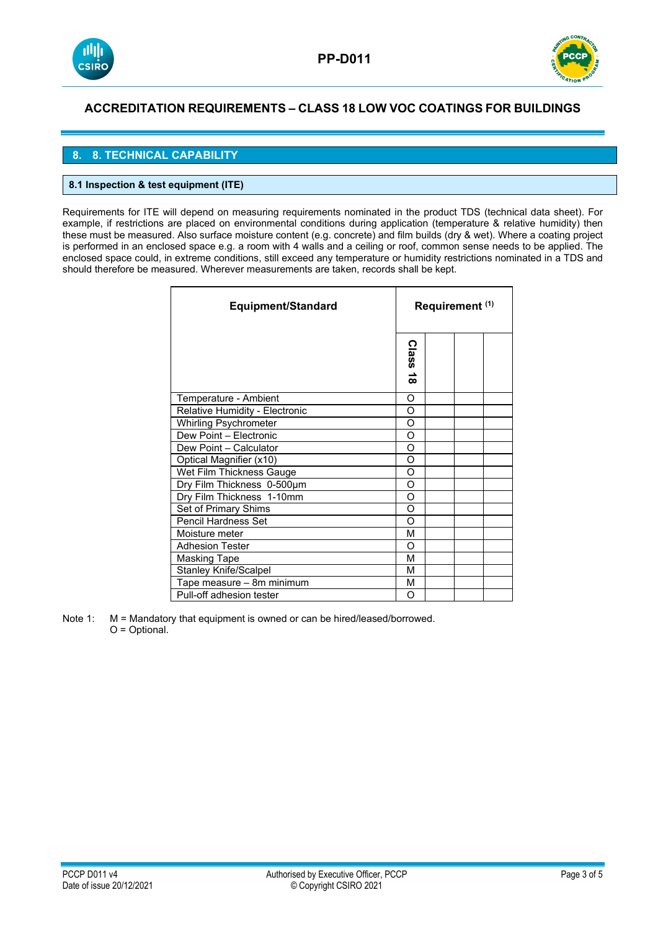



## **8. 8. TECHNICAL CAPABILITY**

### **8.1 Inspection & test equipment (ITE)**

Requirements for ITE will depend on measuring requirements nominated in the product TDS (technical data sheet). For example, if restrictions are placed on environmental conditions during application (temperature & relative humidity) then these must be measured. Also surface moisture content (e.g. concrete) and film builds (dry & wet). Where a coating project is performed in an enclosed space e.g. a room with 4 walls and a ceiling or roof, common sense needs to be applied. The enclosed space could, in extreme conditions, still exceed any temperature or humidity restrictions nominated in a TDS and should therefore be measured. Wherever measurements are taken, records shall be kept.

| Equipment/Standard             |                           | Requirement (1) |  |  |
|--------------------------------|---------------------------|-----------------|--|--|
|                                | <b>Class</b><br>$\vec{8}$ |                 |  |  |
| Temperature - Ambient          |                           |                 |  |  |
| Relative Humidity - Electronic |                           |                 |  |  |
| <b>Whirling Psychrometer</b>   | O                         |                 |  |  |
| Dew Point - Electronic         | O                         |                 |  |  |
| Dew Point - Calculator         | O                         |                 |  |  |
| Optical Magnifier (x10)        | O                         |                 |  |  |
| Wet Film Thickness Gauge       | O                         |                 |  |  |
| Dry Film Thickness 0-500um     |                           |                 |  |  |
| Dry Film Thickness 1-10mm      |                           |                 |  |  |
| Set of Primary Shims           |                           |                 |  |  |
| Pencil Hardness Set            |                           |                 |  |  |
| Moisture meter                 |                           |                 |  |  |
| <b>Adhesion Tester</b>         |                           |                 |  |  |
| <b>Masking Tape</b>            |                           |                 |  |  |
| <b>Stanley Knife/Scalpel</b>   |                           |                 |  |  |
| Tape measure - 8m minimum      |                           |                 |  |  |
| Pull-off adhesion tester       |                           |                 |  |  |

Note 1: M = Mandatory that equipment is owned or can be hired/leased/borrowed. O = Optional.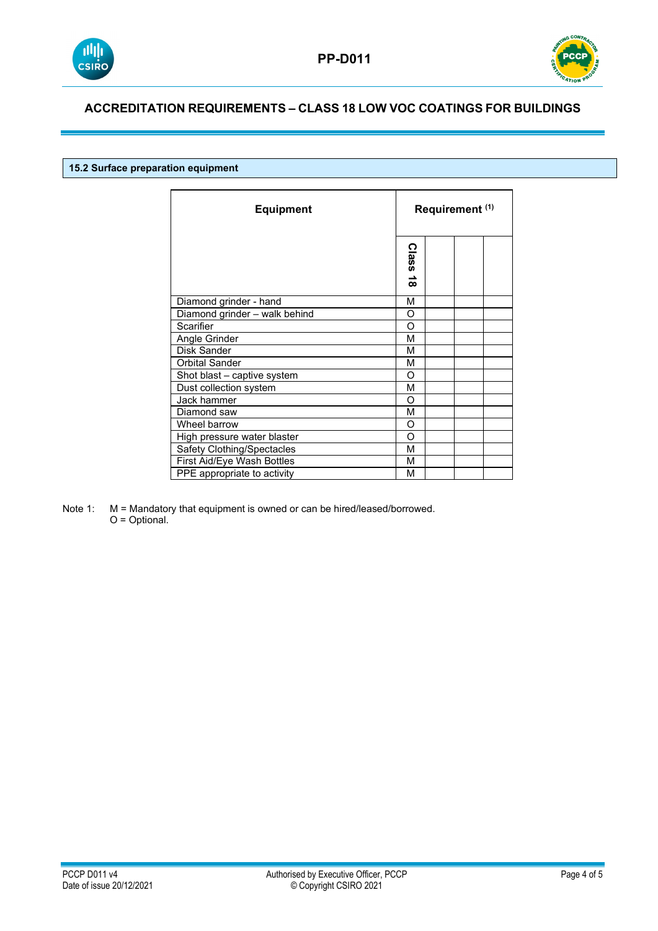



## **15.2 Surface preparation equipment**

| <b>Equipment</b>              |                           | Requirement <sup>(1)</sup> |  |  |
|-------------------------------|---------------------------|----------------------------|--|--|
|                               | <b>Class</b><br>$\vec{8}$ |                            |  |  |
| Diamond grinder - hand        | М                         |                            |  |  |
| Diamond grinder - walk behind | O                         |                            |  |  |
| Scarifier                     | O                         |                            |  |  |
| Angle Grinder                 |                           |                            |  |  |
| Disk Sander                   | М                         |                            |  |  |
| <b>Orbital Sander</b>         | М                         |                            |  |  |
| Shot blast - captive system   |                           |                            |  |  |
| Dust collection system        |                           |                            |  |  |
| Jack hammer                   |                           |                            |  |  |
| Diamond saw                   |                           |                            |  |  |
| Wheel barrow                  |                           |                            |  |  |
| High pressure water blaster   |                           |                            |  |  |
| Safety Clothing/Spectacles    |                           |                            |  |  |
| First Aid/Eye Wash Bottles    |                           |                            |  |  |
| PPE appropriate to activity   |                           |                            |  |  |

Note 1: M = Mandatory that equipment is owned or can be hired/leased/borrowed. O = Optional.